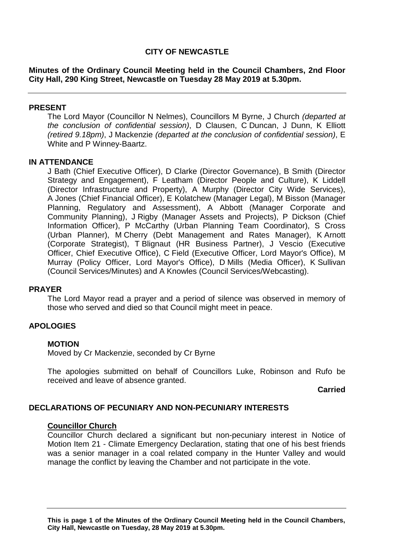# **CITY OF NEWCASTLE**

**Minutes of the Ordinary Council Meeting held in the Council Chambers, 2nd Floor City Hall, 290 King Street, Newcastle on Tuesday 28 May 2019 at 5.30pm.**

#### **PRESENT**

The Lord Mayor (Councillor N Nelmes), Councillors M Byrne, J Church *(departed at the conclusion of confidential session)*, D Clausen, C Duncan, J Dunn, K Elliott *(retired 9.18pm)*, J Mackenzie *(departed at the conclusion of confidential session)*, E White and P Winney-Baartz.

#### **IN ATTENDANCE**

J Bath (Chief Executive Officer), D Clarke (Director Governance), B Smith (Director Strategy and Engagement), F Leatham (Director People and Culture), K Liddell (Director Infrastructure and Property), A Murphy (Director City Wide Services), A Jones (Chief Financial Officer), E Kolatchew (Manager Legal), M Bisson (Manager Planning, Regulatory and Assessment), A Abbott (Manager Corporate and Community Planning), J Rigby (Manager Assets and Projects), P Dickson (Chief Information Officer), P McCarthy (Urban Planning Team Coordinator), S Cross (Urban Planner), M Cherry (Debt Management and Rates Manager), K Arnott (Corporate Strategist), T Blignaut (HR Business Partner), J Vescio (Executive Officer, Chief Executive Office), C Field (Executive Officer, Lord Mayor's Office), M Murray (Policy Officer, Lord Mayor's Office), D Mills (Media Officer), K Sullivan (Council Services/Minutes) and A Knowles (Council Services/Webcasting).

#### **PRAYER**

The Lord Mayor read a prayer and a period of silence was observed in memory of those who served and died so that Council might meet in peace.

## **APOLOGIES**

## **MOTION**

Moved by Cr Mackenzie, seconded by Cr Byrne

The apologies submitted on behalf of Councillors Luke, Robinson and Rufo be received and leave of absence granted.

**Carried**

# **DECLARATIONS OF PECUNIARY AND NON-PECUNIARY INTERESTS**

#### **Councillor Church**

Councillor Church declared a significant but non-pecuniary interest in Notice of Motion Item 21 - Climate Emergency Declaration, stating that one of his best friends was a senior manager in a coal related company in the Hunter Valley and would manage the conflict by leaving the Chamber and not participate in the vote.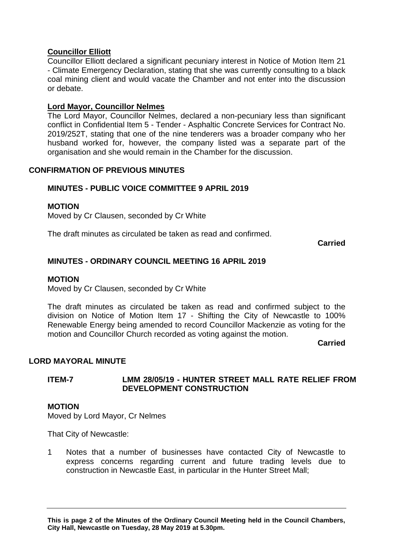# **Councillor Elliott**

Councillor Elliott declared a significant pecuniary interest in Notice of Motion Item 21 - Climate Emergency Declaration, stating that she was currently consulting to a black coal mining client and would vacate the Chamber and not enter into the discussion or debate.

# **Lord Mayor, Councillor Nelmes**

The Lord Mayor, Councillor Nelmes, declared a non-pecuniary less than significant conflict in Confidential Item 5 - Tender - Asphaltic Concrete Services for Contract No. 2019/252T, stating that one of the nine tenderers was a broader company who her husband worked for, however, the company listed was a separate part of the organisation and she would remain in the Chamber for the discussion.

# **CONFIRMATION OF PREVIOUS MINUTES**

# **MINUTES - PUBLIC VOICE COMMITTEE 9 APRIL 2019**

## **MOTION**

Moved by Cr Clausen, seconded by Cr White

The draft minutes as circulated be taken as read and confirmed.

**Carried**

# **MINUTES - ORDINARY COUNCIL MEETING 16 APRIL 2019**

#### **MOTION**

Moved by Cr Clausen, seconded by Cr White

The draft minutes as circulated be taken as read and confirmed subject to the division on Notice of Motion Item 17 - Shifting the City of Newcastle to 100% Renewable Energy being amended to record Councillor Mackenzie as voting for the motion and Councillor Church recorded as voting against the motion.

**Carried**

## **LORD MAYORAL MINUTE**

# **ITEM-7 LMM 28/05/19 - HUNTER STREET MALL RATE RELIEF FROM DEVELOPMENT CONSTRUCTION**

#### **MOTION**

Moved by Lord Mayor, Cr Nelmes

That City of Newcastle:

1 Notes that a number of businesses have contacted City of Newcastle to express concerns regarding current and future trading levels due to construction in Newcastle East, in particular in the Hunter Street Mall;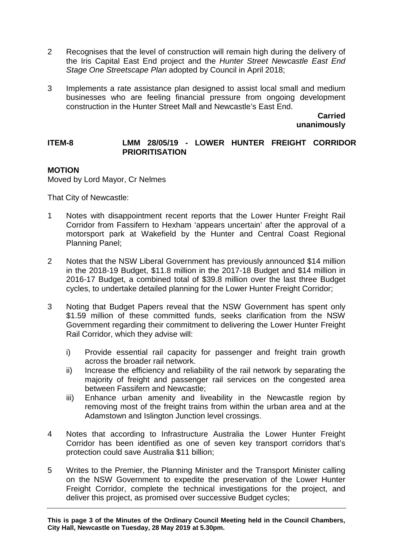- 2 Recognises that the level of construction will remain high during the delivery of the Iris Capital East End project and the *Hunter Street Newcastle East End Stage One Streetscape Plan* adopted by Council in April 2018;
- 3 Implements a rate assistance plan designed to assist local small and medium businesses who are feeling financial pressure from ongoing development construction in the Hunter Street Mall and Newcastle's East End.

**Carried unanimously**

#### **ITEM-8 LMM 28/05/19 - LOWER HUNTER FREIGHT CORRIDOR PRIORITISATION**

# **MOTION**

Moved by Lord Mayor, Cr Nelmes

That City of Newcastle:

- 1 Notes with disappointment recent reports that the Lower Hunter Freight Rail Corridor from Fassifern to Hexham 'appears uncertain' after the approval of a motorsport park at Wakefield by the Hunter and Central Coast Regional Planning Panel;
- 2 Notes that the NSW Liberal Government has previously announced \$14 million in the 2018-19 Budget, \$11.8 million in the 2017-18 Budget and \$14 million in 2016-17 Budget, a combined total of \$39.8 million over the last three Budget cycles, to undertake detailed planning for the Lower Hunter Freight Corridor;
- 3 Noting that Budget Papers reveal that the NSW Government has spent only \$1.59 million of these committed funds, seeks clarification from the NSW Government regarding their commitment to delivering the Lower Hunter Freight Rail Corridor, which they advise will:
	- i) Provide essential rail capacity for passenger and freight train growth across the broader rail network.
	- ii) Increase the efficiency and reliability of the rail network by separating the majority of freight and passenger rail services on the congested area between Fassifern and Newcastle;
	- iii) Enhance urban amenity and liveability in the Newcastle region by removing most of the freight trains from within the urban area and at the Adamstown and Islington Junction level crossings.
- 4 Notes that according to Infrastructure Australia the Lower Hunter Freight Corridor has been identified as one of seven key transport corridors that's protection could save Australia \$11 billion;
- 5 Writes to the Premier, the Planning Minister and the Transport Minister calling on the NSW Government to expedite the preservation of the Lower Hunter Freight Corridor, complete the technical investigations for the project, and deliver this project, as promised over successive Budget cycles;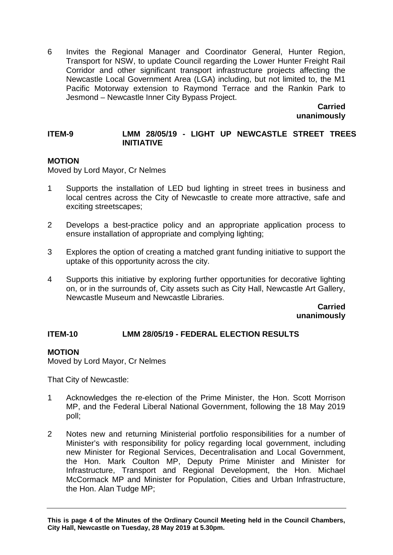6 Invites the Regional Manager and Coordinator General, Hunter Region, Transport for NSW, to update Council regarding the Lower Hunter Freight Rail Corridor and other significant transport infrastructure projects affecting the Newcastle Local Government Area (LGA) including, but not limited to, the M1 Pacific Motorway extension to Raymond Terrace and the Rankin Park to Jesmond – Newcastle Inner City Bypass Project.

> **Carried unanimously**

# **ITEM-9 LMM 28/05/19 - LIGHT UP NEWCASTLE STREET TREES INITIATIVE**

# **MOTION**

Moved by Lord Mayor, Cr Nelmes

- 1 Supports the installation of LED bud lighting in street trees in business and local centres across the City of Newcastle to create more attractive, safe and exciting streetscapes;
- 2 Develops a best-practice policy and an appropriate application process to ensure installation of appropriate and complying lighting;
- 3 Explores the option of creating a matched grant funding initiative to support the uptake of this opportunity across the city.
- 4 Supports this initiative by exploring further opportunities for decorative lighting on, or in the surrounds of, City assets such as City Hall, Newcastle Art Gallery, Newcastle Museum and Newcastle Libraries.

**Carried unanimously**

# **ITEM-10 LMM 28/05/19 - FEDERAL ELECTION RESULTS**

## **MOTION**

Moved by Lord Mayor, Cr Nelmes

That City of Newcastle:

- 1 Acknowledges the re-election of the Prime Minister, the Hon. Scott Morrison MP, and the Federal Liberal National Government, following the 18 May 2019 poll;
- 2 Notes new and returning Ministerial portfolio responsibilities for a number of Minister's with responsibility for policy regarding local government, including new Minister for Regional Services, Decentralisation and Local Government, the Hon. Mark Coulton MP, Deputy Prime Minister and Minister for Infrastructure, Transport and Regional Development, the Hon. Michael McCormack MP and Minister for Population, Cities and Urban Infrastructure, the Hon. Alan Tudge MP: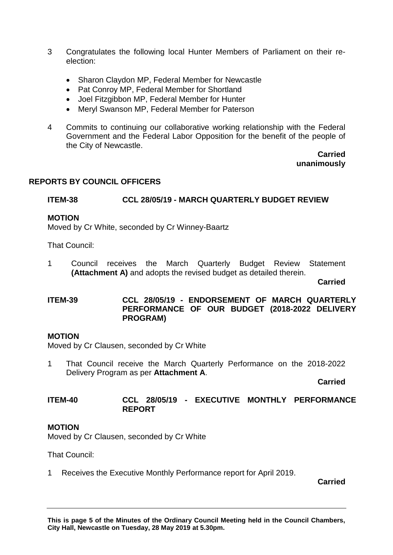- 3 Congratulates the following local Hunter Members of Parliament on their reelection:
	- Sharon Claydon MP, Federal Member for Newcastle
	- Pat Conroy MP, Federal Member for Shortland
	- Joel Fitzgibbon MP, Federal Member for Hunter
	- Meryl Swanson MP, Federal Member for Paterson
- 4 Commits to continuing our collaborative working relationship with the Federal Government and the Federal Labor Opposition for the benefit of the people of the City of Newcastle.

#### **Carried unanimously**

# **REPORTS BY COUNCIL OFFICERS**

## **ITEM-38 CCL 28/05/19 - MARCH QUARTERLY BUDGET REVIEW**

#### **MOTION**

Moved by Cr White, seconded by Cr Winney-Baartz

That Council:

1 Council receives the March Quarterly Budget Review Statement **(Attachment A)** and adopts the revised budget as detailed therein.

**Carried**

# **ITEM-39 CCL 28/05/19 - ENDORSEMENT OF MARCH QUARTERLY PERFORMANCE OF OUR BUDGET (2018-2022 DELIVERY PROGRAM)**

#### **MOTION**

Moved by Cr Clausen, seconded by Cr White

1 That Council receive the March Quarterly Performance on the 2018-2022 Delivery Program as per **Attachment A**.

**Carried**

**ITEM-40 CCL 28/05/19 - EXECUTIVE MONTHLY PERFORMANCE REPORT**

## **MOTION**

Moved by Cr Clausen, seconded by Cr White

That Council:

1 Receives the Executive Monthly Performance report for April 2019.

**Carried**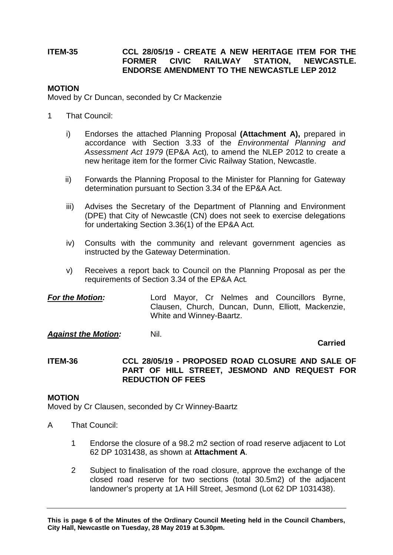# **ITEM-35 CCL 28/05/19 - CREATE A NEW HERITAGE ITEM FOR THE NEWCASTLE. ENDORSE AMENDMENT TO THE NEWCASTLE LEP 2012**

#### **MOTION**

Moved by Cr Duncan, seconded by Cr Mackenzie

- 1 That Council:
	- i) Endorses the attached Planning Proposal **(Attachment A),** prepared in accordance with Section 3.33 of the *Environmental Planning and Assessment Act 1979* (EP&A Act)*,* to amend the NLEP 2012 to create a new heritage item for the former Civic Railway Station, Newcastle.
	- ii) Forwards the Planning Proposal to the Minister for Planning for Gateway determination pursuant to Section 3.34 of the EP&A Act.
	- iii) Advises the Secretary of the Department of Planning and Environment (DPE) that City of Newcastle (CN) does not seek to exercise delegations for undertaking Section 3.36(1) of the EP&A Act*.*
	- iv) Consults with the community and relevant government agencies as instructed by the Gateway Determination.
	- v) Receives a report back to Council on the Planning Proposal as per the requirements of Section 3.34 of the EP&A Act*.*

*For the Motion:* Lord Mayor, Cr Nelmes and Councillors Byrne, Clausen, Church, Duncan, Dunn, Elliott, Mackenzie, White and Winney-Baartz.

**Against the Motion:** Nil.

**Carried**

## **ITEM-36 CCL 28/05/19 - PROPOSED ROAD CLOSURE AND SALE OF PART OF HILL STREET, JESMOND AND REQUEST FOR REDUCTION OF FEES**

## **MOTION**

Moved by Cr Clausen, seconded by Cr Winney-Baartz

- A That Council:
	- 1 Endorse the closure of a 98.2 m2 section of road reserve adjacent to Lot 62 DP 1031438, as shown at **Attachment A**.
	- 2 Subject to finalisation of the road closure, approve the exchange of the closed road reserve for two sections (total 30.5m2) of the adjacent landowner's property at 1A Hill Street, Jesmond (Lot 62 DP 1031438).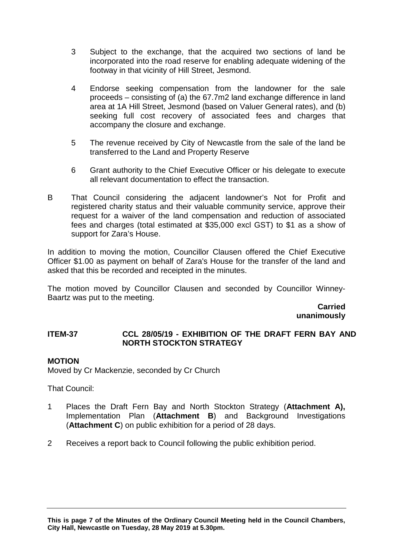- 3 Subject to the exchange, that the acquired two sections of land be incorporated into the road reserve for enabling adequate widening of the footway in that vicinity of Hill Street, Jesmond.
- 4 Endorse seeking compensation from the landowner for the sale proceeds – consisting of (a) the 67.7m2 land exchange difference in land area at 1A Hill Street, Jesmond (based on Valuer General rates), and (b) seeking full cost recovery of associated fees and charges that accompany the closure and exchange.
- 5 The revenue received by City of Newcastle from the sale of the land be transferred to the Land and Property Reserve
- 6 Grant authority to the Chief Executive Officer or his delegate to execute all relevant documentation to effect the transaction.
- B That Council considering the adjacent landowner's Not for Profit and registered charity status and their valuable community service, approve their request for a waiver of the land compensation and reduction of associated fees and charges (total estimated at \$35,000 excl GST) to \$1 as a show of support for Zara's House.

In addition to moving the motion, Councillor Clausen offered the Chief Executive Officer \$1.00 as payment on behalf of Zara's House for the transfer of the land and asked that this be recorded and receipted in the minutes.

The motion moved by Councillor Clausen and seconded by Councillor Winney-Baartz was put to the meeting.

**Carried unanimously**

# **ITEM-37 CCL 28/05/19 - EXHIBITION OF THE DRAFT FERN BAY AND NORTH STOCKTON STRATEGY**

## **MOTION**

Moved by Cr Mackenzie, seconded by Cr Church

That Council:

- 1 Places the Draft Fern Bay and North Stockton Strategy (**Attachment A),**  Implementation Plan (**Attachment B**) and Background Investigations (**Attachment C**) on public exhibition for a period of 28 days.
- 2 Receives a report back to Council following the public exhibition period.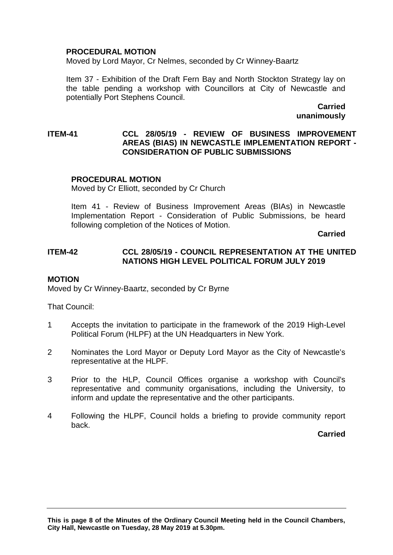## **PROCEDURAL MOTION**

Moved by Lord Mayor, Cr Nelmes, seconded by Cr Winney-Baartz

Item 37 - Exhibition of the Draft Fern Bay and North Stockton Strategy lay on the table pending a workshop with Councillors at City of Newcastle and potentially Port Stephens Council.

> **Carried unanimously**

## **ITEM-41 CCL 28/05/19 - REVIEW OF BUSINESS IMPROVEMENT AREAS (BIAS) IN NEWCASTLE IMPLEMENTATION REPORT - CONSIDERATION OF PUBLIC SUBMISSIONS**

## **PROCEDURAL MOTION**

Moved by Cr Elliott, seconded by Cr Church

Item 41 - Review of Business Improvement Areas (BIAs) in Newcastle Implementation Report - Consideration of Public Submissions, be heard following completion of the Notices of Motion.

**Carried**

## **ITEM-42 CCL 28/05/19 - COUNCIL REPRESENTATION AT THE UNITED NATIONS HIGH LEVEL POLITICAL FORUM JULY 2019**

#### **MOTION**

Moved by Cr Winney-Baartz, seconded by Cr Byrne

That Council:

- 1 Accepts the invitation to participate in the framework of the 2019 High-Level Political Forum (HLPF) at the UN Headquarters in New York.
- 2 Nominates the Lord Mayor or Deputy Lord Mayor as the City of Newcastle's representative at the HLPF.
- 3 Prior to the HLP, Council Offices organise a workshop with Council's representative and community organisations, including the University, to inform and update the representative and the other participants.
- 4 Following the HLPF, Council holds a briefing to provide community report back.

**Carried**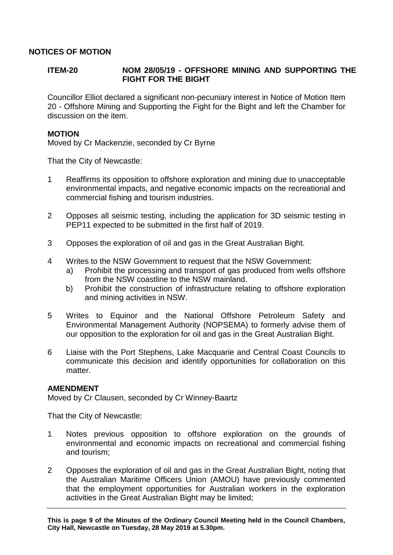# **NOTICES OF MOTION**

# **ITEM-20 NOM 28/05/19 - OFFSHORE MINING AND SUPPORTING THE FIGHT FOR THE BIGHT**

Councillor Elliot declared a significant non-pecuniary interest in Notice of Motion Item 20 - Offshore Mining and Supporting the Fight for the Bight and left the Chamber for discussion on the item.

## **MOTION**

Moved by Cr Mackenzie, seconded by Cr Byrne

That the City of Newcastle:

- 1 Reaffirms its opposition to offshore exploration and mining due to unacceptable environmental impacts, and negative economic impacts on the recreational and commercial fishing and tourism industries.
- 2 Opposes all seismic testing, including the application for 3D seismic testing in PEP11 expected to be submitted in the first half of 2019.
- 3 Opposes the exploration of oil and gas in the Great Australian Bight.
- 4 Writes to the NSW Government to request that the NSW Government:
	- a) Prohibit the processing and transport of gas produced from wells offshore from the NSW coastline to the NSW mainland.
	- b) Prohibit the construction of infrastructure relating to offshore exploration and mining activities in NSW.
- 5 Writes to Equinor and the National Offshore Petroleum Safety and Environmental Management Authority (NOPSEMA) to formerly advise them of our opposition to the exploration for oil and gas in the Great Australian Bight.
- 6 Liaise with the Port Stephens, Lake Macquarie and Central Coast Councils to communicate this decision and identify opportunities for collaboration on this matter.

#### **AMENDMENT**

Moved by Cr Clausen, seconded by Cr Winney-Baartz

That the City of Newcastle:

- 1 Notes previous opposition to offshore exploration on the grounds of environmental and economic impacts on recreational and commercial fishing and tourism;
- 2 Opposes the exploration of oil and gas in the Great Australian Bight, noting that the Australian Maritime Officers Union (AMOU) have previously commented that the employment opportunities for Australian workers in the exploration activities in the Great Australian Bight may be limited;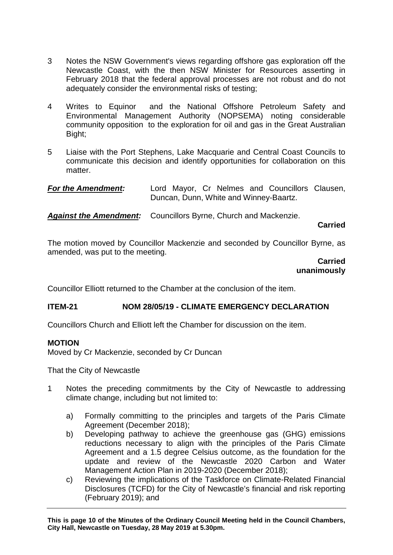- 3 Notes the NSW Government's views regarding offshore gas exploration off the Newcastle Coast, with the then NSW Minister for Resources asserting in February 2018 that the federal approval processes are not robust and do not adequately consider the environmental risks of testing;
- 4 Writes to Equinor and the National Offshore Petroleum Safety and Environmental Management Authority (NOPSEMA) noting considerable community opposition to the exploration for oil and gas in the Great Australian Bight;
- 5 Liaise with the Port Stephens, Lake Macquarie and Central Coast Councils to communicate this decision and identify opportunities for collaboration on this matter.

*Against the Amendment:* Councillors Byrne, Church and Mackenzie.

## **Carried**

The motion moved by Councillor Mackenzie and seconded by Councillor Byrne, as amended, was put to the meeting.

> **Carried unanimously**

Councillor Elliott returned to the Chamber at the conclusion of the item.

# **ITEM-21 NOM 28/05/19 - CLIMATE EMERGENCY DECLARATION**

Councillors Church and Elliott left the Chamber for discussion on the item.

## **MOTION**

Moved by Cr Mackenzie, seconded by Cr Duncan

That the City of Newcastle

- 1 Notes the preceding commitments by the City of Newcastle to addressing climate change, including but not limited to:
	- a) Formally committing to the principles and targets of the Paris Climate Agreement (December 2018);
	- b) Developing pathway to achieve the greenhouse gas (GHG) emissions reductions necessary to align with the principles of the Paris Climate Agreement and a 1.5 degree Celsius outcome, as the foundation for the update and review of the Newcastle 2020 Carbon and Water Management Action Plan in 2019-2020 (December 2018);
	- c) Reviewing the implications of the Taskforce on Climate-Related Financial Disclosures (TCFD) for the City of Newcastle's financial and risk reporting (February 2019); and

*For the Amendment:* Lord Mayor, Cr Nelmes and Councillors Clausen, Duncan, Dunn, White and Winney-Baartz.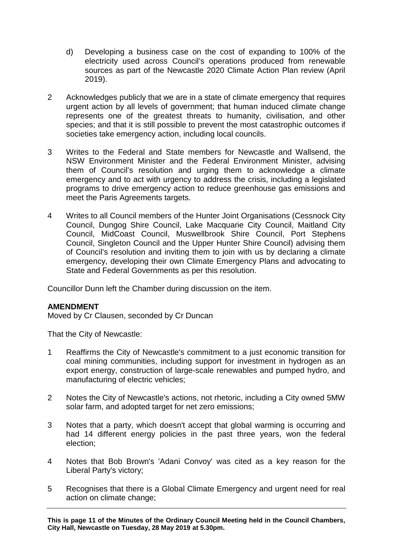- d) Developing a business case on the cost of expanding to 100% of the electricity used across Council's operations produced from renewable sources as part of the Newcastle 2020 Climate Action Plan review (April 2019).
- 2 Acknowledges publicly that we are in a state of climate emergency that requires urgent action by all levels of government; that human induced climate change represents one of the greatest threats to humanity, civilisation, and other species; and that it is still possible to prevent the most catastrophic outcomes if societies take emergency action, including local councils.
- 3 Writes to the Federal and State members for Newcastle and Wallsend, the NSW Environment Minister and the Federal Environment Minister, advising them of Council's resolution and urging them to acknowledge a climate emergency and to act with urgency to address the crisis, including a legislated programs to drive emergency action to reduce greenhouse gas emissions and meet the Paris Agreements targets.
- 4 Writes to all Council members of the Hunter Joint Organisations (Cessnock City Council, Dungog Shire Council, Lake Macquarie City Council, Maitland City Council, MidCoast Council, Muswellbrook Shire Council, Port Stephens Council, Singleton Council and the Upper Hunter Shire Council) advising them of Council's resolution and inviting them to join with us by declaring a climate emergency, developing their own Climate Emergency Plans and advocating to State and Federal Governments as per this resolution.

Councillor Dunn left the Chamber during discussion on the item.

# **AMENDMENT**

Moved by Cr Clausen, seconded by Cr Duncan

That the City of Newcastle:

- 1 Reaffirms the City of Newcastle's commitment to a just economic transition for coal mining communities, including support for investment in hydrogen as an export energy, construction of large-scale renewables and pumped hydro, and manufacturing of electric vehicles;
- 2 Notes the City of Newcastle's actions, not rhetoric, including a City owned 5MW solar farm, and adopted target for net zero emissions;
- 3 Notes that a party, which doesn't accept that global warming is occurring and had 14 different energy policies in the past three years, won the federal election;
- 4 Notes that Bob Brown's 'Adani Convoy' was cited as a key reason for the Liberal Party's victory;
- 5 Recognises that there is a Global Climate Emergency and urgent need for real action on climate change;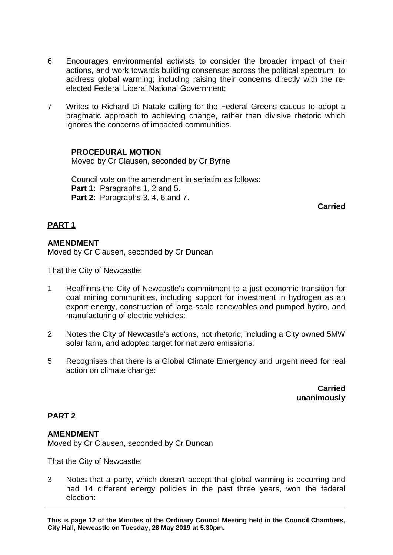- 6 Encourages environmental activists to consider the broader impact of their actions, and work towards building consensus across the political spectrum to address global warming; including raising their concerns directly with the reelected Federal Liberal National Government;
- 7 Writes to Richard Di Natale calling for the Federal Greens caucus to adopt a pragmatic approach to achieving change, rather than divisive rhetoric which ignores the concerns of impacted communities.

## **PROCEDURAL MOTION**

Moved by Cr Clausen, seconded by Cr Byrne

Council vote on the amendment in seriatim as follows: Part 1: Paragraphs 1, 2 and 5. **Part 2**: Paragraphs 3, 4, 6 and 7.

**Carried**

# **PART 1**

## **AMENDMENT**

Moved by Cr Clausen, seconded by Cr Duncan

That the City of Newcastle:

- 1 Reaffirms the City of Newcastle's commitment to a just economic transition for coal mining communities, including support for investment in hydrogen as an export energy, construction of large-scale renewables and pumped hydro, and manufacturing of electric vehicles:
- 2 Notes the City of Newcastle's actions, not rhetoric, including a City owned 5MW solar farm, and adopted target for net zero emissions:
- 5 Recognises that there is a Global Climate Emergency and urgent need for real action on climate change:

**Carried unanimously**

## **PART 2**

## **AMENDMENT**

Moved by Cr Clausen, seconded by Cr Duncan

That the City of Newcastle:

3 Notes that a party, which doesn't accept that global warming is occurring and had 14 different energy policies in the past three years, won the federal election: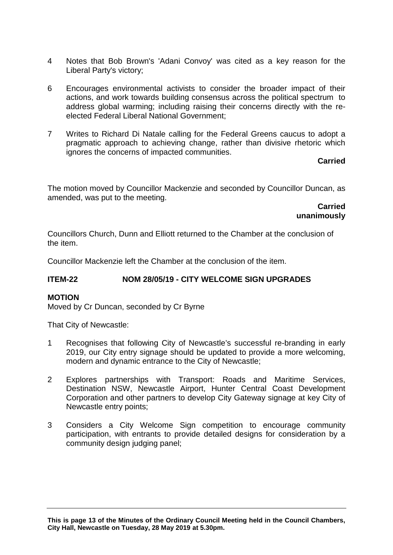- 4 Notes that Bob Brown's 'Adani Convoy' was cited as a key reason for the Liberal Party's victory;
- 6 Encourages environmental activists to consider the broader impact of their actions, and work towards building consensus across the political spectrum to address global warming; including raising their concerns directly with the reelected Federal Liberal National Government;
- 7 Writes to Richard Di Natale calling for the Federal Greens caucus to adopt a pragmatic approach to achieving change, rather than divisive rhetoric which ignores the concerns of impacted communities.

# **Carried**

The motion moved by Councillor Mackenzie and seconded by Councillor Duncan, as amended, was put to the meeting.

> **Carried unanimously**

Councillors Church, Dunn and Elliott returned to the Chamber at the conclusion of the item.

Councillor Mackenzie left the Chamber at the conclusion of the item.

# **ITEM-22 NOM 28/05/19 - CITY WELCOME SIGN UPGRADES**

## **MOTION**

Moved by Cr Duncan, seconded by Cr Byrne

That City of Newcastle:

- 1 Recognises that following City of Newcastle's successful re-branding in early 2019, our City entry signage should be updated to provide a more welcoming, modern and dynamic entrance to the City of Newcastle;
- 2 Explores partnerships with Transport: Roads and Maritime Services, Destination NSW, Newcastle Airport, Hunter Central Coast Development Corporation and other partners to develop City Gateway signage at key City of Newcastle entry points;
- 3 Considers a City Welcome Sign competition to encourage community participation, with entrants to provide detailed designs for consideration by a community design judging panel;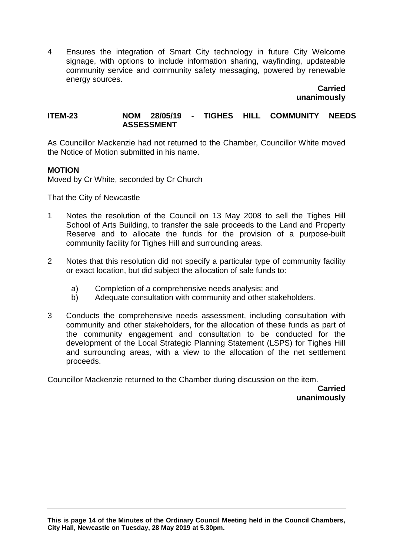4 Ensures the integration of Smart City technology in future City Welcome signage, with options to include information sharing, wayfinding, updateable community service and community safety messaging, powered by renewable energy sources.

**Carried unanimously**

#### **ITEM-23 NOM 28/05/19 - TIGHES HILL COMMUNITY NEEDS ASSESSMENT**

As Councillor Mackenzie had not returned to the Chamber, Councillor White moved the Notice of Motion submitted in his name.

## **MOTION**

Moved by Cr White, seconded by Cr Church

That the City of Newcastle

- 1 Notes the resolution of the Council on 13 May 2008 to sell the Tighes Hill School of Arts Building, to transfer the sale proceeds to the Land and Property Reserve and to allocate the funds for the provision of a purpose-built community facility for Tighes Hill and surrounding areas.
- 2 Notes that this resolution did not specify a particular type of community facility or exact location, but did subject the allocation of sale funds to:
	- a) Completion of a comprehensive needs analysis; and
	- b) Adequate consultation with community and other stakeholders.
- 3 Conducts the comprehensive needs assessment, including consultation with community and other stakeholders, for the allocation of these funds as part of the community engagement and consultation to be conducted for the development of the Local Strategic Planning Statement (LSPS) for Tighes Hill and surrounding areas, with a view to the allocation of the net settlement proceeds.

Councillor Mackenzie returned to the Chamber during discussion on the item.

**Carried unanimously**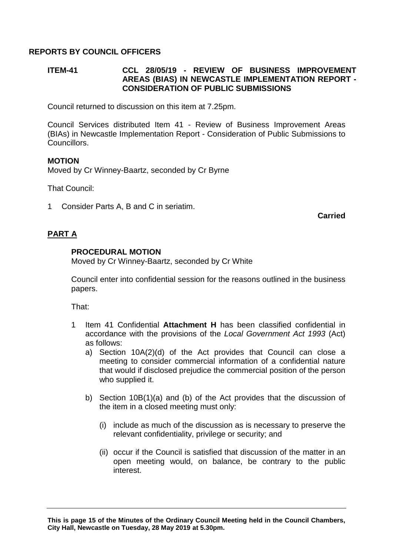# **REPORTS BY COUNCIL OFFICERS**

## **ITEM-41 CCL 28/05/19 - REVIEW OF BUSINESS IMPROVEMENT AREAS (BIAS) IN NEWCASTLE IMPLEMENTATION REPORT - CONSIDERATION OF PUBLIC SUBMISSIONS**

Council returned to discussion on this item at 7.25pm.

Council Services distributed Item 41 - Review of Business Improvement Areas (BIAs) in Newcastle Implementation Report - Consideration of Public Submissions to Councillors.

#### **MOTION**

Moved by Cr Winney-Baartz, seconded by Cr Byrne

That Council:

1 Consider Parts A, B and C in seriatim.

**Carried**

# **PART A**

## **PROCEDURAL MOTION**

Moved by Cr Winney-Baartz, seconded by Cr White

Council enter into confidential session for the reasons outlined in the business papers.

That:

- 1 Item 41 Confidential **Attachment H** has been classified confidential in accordance with the provisions of the *Local Government Act 1993* (Act) as follows:
	- a) Section 10A(2)(d) of the Act provides that Council can close a meeting to consider commercial information of a confidential nature that would if disclosed prejudice the commercial position of the person who supplied it.
	- b) Section 10B(1)(a) and (b) of the Act provides that the discussion of the item in a closed meeting must only:
		- (i) include as much of the discussion as is necessary to preserve the relevant confidentiality, privilege or security; and
		- (ii) occur if the Council is satisfied that discussion of the matter in an open meeting would, on balance, be contrary to the public interest.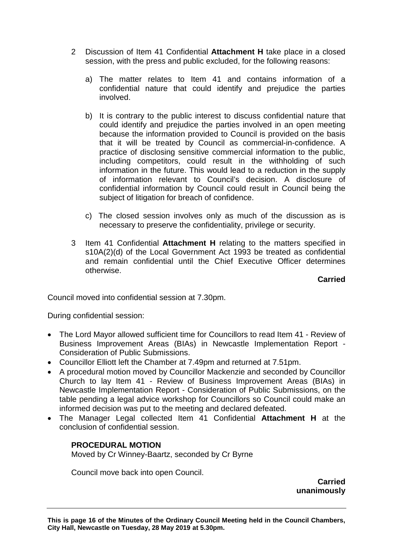- 2 Discussion of Item 41 Confidential **Attachment H** take place in a closed session, with the press and public excluded, for the following reasons:
	- a) The matter relates to Item 41 and contains information of a confidential nature that could identify and prejudice the parties involved.
	- b) It is contrary to the public interest to discuss confidential nature that could identify and prejudice the parties involved in an open meeting because the information provided to Council is provided on the basis that it will be treated by Council as commercial-in-confidence. A practice of disclosing sensitive commercial information to the public, including competitors, could result in the withholding of such information in the future. This would lead to a reduction in the supply of information relevant to Council's decision. A disclosure of confidential information by Council could result in Council being the subject of litigation for breach of confidence.
	- c) The closed session involves only as much of the discussion as is necessary to preserve the confidentiality, privilege or security.
- 3 Item 41 Confidential **Attachment H** relating to the matters specified in s10A(2)(d) of the Local Government Act 1993 be treated as confidential and remain confidential until the Chief Executive Officer determines otherwise.

**Carried**

Council moved into confidential session at 7.30pm.

During confidential session:

- The Lord Mayor allowed sufficient time for Councillors to read Item 41 Review of Business Improvement Areas (BIAs) in Newcastle Implementation Report - Consideration of Public Submissions.
- Councillor Elliott left the Chamber at 7.49pm and returned at 7.51pm.
- A procedural motion moved by Councillor Mackenzie and seconded by Councillor Church to lay Item 41 - Review of Business Improvement Areas (BIAs) in Newcastle Implementation Report - Consideration of Public Submissions, on the table pending a legal advice workshop for Councillors so Council could make an informed decision was put to the meeting and declared defeated.
- The Manager Legal collected Item 41 Confidential **Attachment H** at the conclusion of confidential session.

## **PROCEDURAL MOTION**

Moved by Cr Winney-Baartz, seconded by Cr Byrne

Council move back into open Council.

**Carried unanimously**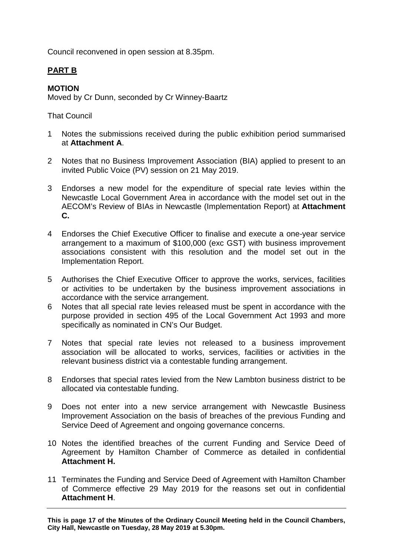Council reconvened in open session at 8.35pm.

# **PART B**

# **MOTION**

Moved by Cr Dunn, seconded by Cr Winney-Baartz

That Council

- 1 Notes the submissions received during the public exhibition period summarised at **Attachment A**.
- 2 Notes that no Business Improvement Association (BIA) applied to present to an invited Public Voice (PV) session on 21 May 2019.
- 3 Endorses a new model for the expenditure of special rate levies within the Newcastle Local Government Area in accordance with the model set out in the AECOM's Review of BIAs in Newcastle (Implementation Report) at **Attachment C.**
- 4 Endorses the Chief Executive Officer to finalise and execute a one-year service arrangement to a maximum of \$100,000 (exc GST) with business improvement associations consistent with this resolution and the model set out in the Implementation Report.
- 5 Authorises the Chief Executive Officer to approve the works, services, facilities or activities to be undertaken by the business improvement associations in accordance with the service arrangement.
- 6 Notes that all special rate levies released must be spent in accordance with the purpose provided in section 495 of the Local Government Act 1993 and more specifically as nominated in CN's Our Budget.
- 7 Notes that special rate levies not released to a business improvement association will be allocated to works, services, facilities or activities in the relevant business district via a contestable funding arrangement.
- 8 Endorses that special rates levied from the New Lambton business district to be allocated via contestable funding.
- 9 Does not enter into a new service arrangement with Newcastle Business Improvement Association on the basis of breaches of the previous Funding and Service Deed of Agreement and ongoing governance concerns.
- 10 Notes the identified breaches of the current Funding and Service Deed of Agreement by Hamilton Chamber of Commerce as detailed in confidential **Attachment H.**
- 11 Terminates the Funding and Service Deed of Agreement with Hamilton Chamber of Commerce effective 29 May 2019 for the reasons set out in confidential **Attachment H**.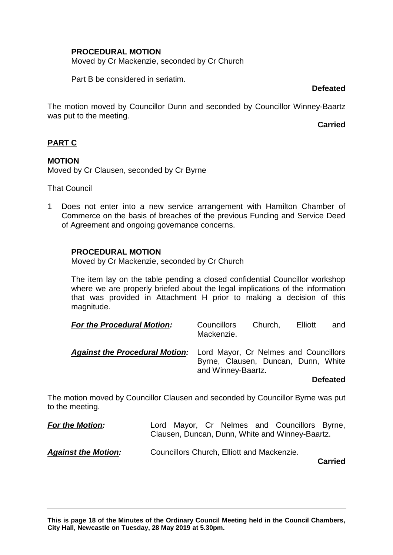# **PROCEDURAL MOTION**

Moved by Cr Mackenzie, seconded by Cr Church

Part B be considered in seriatim.

**Defeated**

The motion moved by Councillor Dunn and seconded by Councillor Winney-Baartz was put to the meeting.

**Carried**

# **PART C**

# **MOTION**

Moved by Cr Clausen, seconded by Cr Byrne

That Council

1 Does not enter into a new service arrangement with Hamilton Chamber of Commerce on the basis of breaches of the previous Funding and Service Deed of Agreement and ongoing governance concerns.

# **PROCEDURAL MOTION**

Moved by Cr Mackenzie, seconded by Cr Church

The item lay on the table pending a closed confidential Councillor workshop where we are properly briefed about the legal implications of the information that was provided in Attachment H prior to making a decision of this magnitude.

| <b>For the Procedural Motion:</b>                                           | <b>Councillors</b><br>Mackenzie.                          | Church, | Elliott | and |
|-----------------------------------------------------------------------------|-----------------------------------------------------------|---------|---------|-----|
| <b>Against the Procedural Motion:</b> Lord Mayor, Cr Nelmes and Councillors | Byrne, Clausen, Duncan, Dunn, White<br>and Winney-Baartz. |         |         |     |

## **Defeated**

The motion moved by Councillor Clausen and seconded by Councillor Byrne was put to the meeting.

| <b>For the Motion:</b>     |  |                                            | Lord Mayor, Cr Nelmes and Councillors Byrne,<br>Clausen, Duncan, Dunn, White and Winney-Baartz. |  |
|----------------------------|--|--------------------------------------------|-------------------------------------------------------------------------------------------------|--|
| <b>Against the Motion:</b> |  | Councillors Church, Elliott and Mackenzie. |                                                                                                 |  |

**Carried**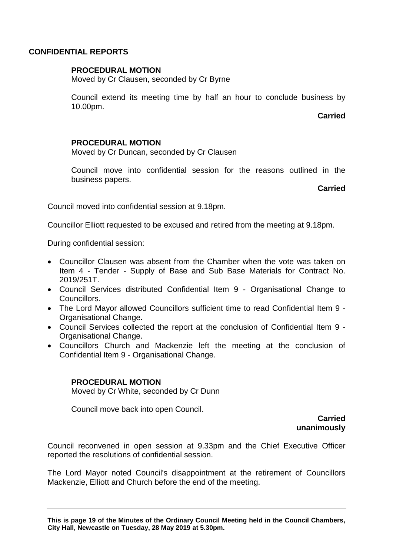#### **CONFIDENTIAL REPORTS**

#### **PROCEDURAL MOTION**

Moved by Cr Clausen, seconded by Cr Byrne

Council extend its meeting time by half an hour to conclude business by 10.00pm.

**Carried**

#### **PROCEDURAL MOTION**

Moved by Cr Duncan, seconded by Cr Clausen

Council move into confidential session for the reasons outlined in the business papers.

**Carried**

Council moved into confidential session at 9.18pm.

Councillor Elliott requested to be excused and retired from the meeting at 9.18pm.

During confidential session:

- Councillor Clausen was absent from the Chamber when the vote was taken on Item 4 - Tender - Supply of Base and Sub Base Materials for Contract No. 2019/251T.
- Council Services distributed Confidential Item 9 Organisational Change to Councillors.
- The Lord Mayor allowed Councillors sufficient time to read Confidential Item 9 Organisational Change.
- Council Services collected the report at the conclusion of Confidential Item 9 Organisational Change.
- Councillors Church and Mackenzie left the meeting at the conclusion of Confidential Item 9 - Organisational Change.

## **PROCEDURAL MOTION**

Moved by Cr White, seconded by Cr Dunn

Council move back into open Council.

**Carried unanimously**

Council reconvened in open session at 9.33pm and the Chief Executive Officer reported the resolutions of confidential session.

The Lord Mayor noted Council's disappointment at the retirement of Councillors Mackenzie, Elliott and Church before the end of the meeting.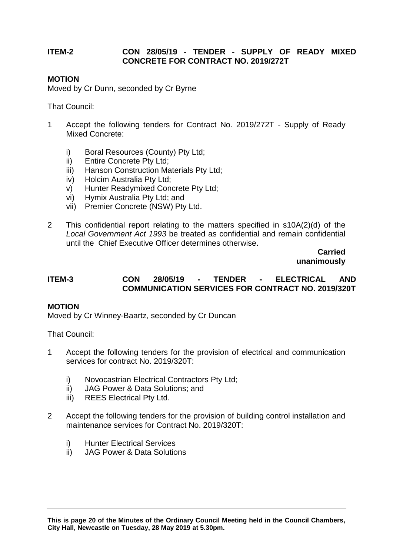## **ITEM-2 CON 28/05/19 - TENDER - SUPPLY OF READY MIXED CONCRETE FOR CONTRACT NO. 2019/272T**

#### **MOTION**

Moved by Cr Dunn, seconded by Cr Byrne

That Council:

- 1 Accept the following tenders for Contract No. 2019/272T Supply of Ready Mixed Concrete:
	- i) Boral Resources (County) Pty Ltd;
	- ii) Entire Concrete Pty Ltd;
	- iii) Hanson Construction Materials Pty Ltd;
	- iv) Holcim Australia Pty Ltd;
	- v) Hunter Readymixed Concrete Pty Ltd;
	- vi) Hymix Australia Pty Ltd; and
	- vii) Premier Concrete (NSW) Pty Ltd.
- 2 This confidential report relating to the matters specified in s10A(2)(d) of the *Local Government Act 1993* be treated as confidential and remain confidential until the Chief Executive Officer determines otherwise.

**Carried unanimously**

## **ITEM-3 CON 28/05/19 - TENDER - ELECTRICAL AND COMMUNICATION SERVICES FOR CONTRACT NO. 2019/320T**

## **MOTION**

Moved by Cr Winney-Baartz, seconded by Cr Duncan

That Council:

- 1 Accept the following tenders for the provision of electrical and communication services for contract No. 2019/320T:
	- i) Novocastrian Electrical Contractors Pty Ltd;
	- ii) JAG Power & Data Solutions; and
	- iii) REES Electrical Pty Ltd.
- 2 Accept the following tenders for the provision of building control installation and maintenance services for Contract No. 2019/320T:
	- i) Hunter Electrical Services
	- ii) JAG Power & Data Solutions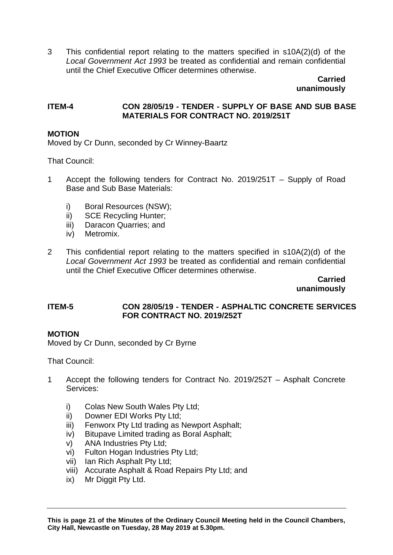3 This confidential report relating to the matters specified in s10A(2)(d) of the *Local Government Act 1993* be treated as confidential and remain confidential until the Chief Executive Officer determines otherwise.

**Carried unanimously**

## **ITEM-4 CON 28/05/19 - TENDER - SUPPLY OF BASE AND SUB BASE MATERIALS FOR CONTRACT NO. 2019/251T**

## **MOTION**

Moved by Cr Dunn, seconded by Cr Winney-Baartz

That Council:

- 1 Accept the following tenders for Contract No. 2019/251T Supply of Road Base and Sub Base Materials:
	- i) Boral Resources (NSW);
	- ii) SCE Recycling Hunter;
	- iii) Daracon Quarries; and
	- iv) Metromix.
- 2 This confidential report relating to the matters specified in s10A(2)(d) of the *Local Government Act 1993* be treated as confidential and remain confidential until the Chief Executive Officer determines otherwise.

**Carried unanimously**

#### **ITEM-5 CON 28/05/19 - TENDER - ASPHALTIC CONCRETE SERVICES FOR CONTRACT NO. 2019/252T**

#### **MOTION**

Moved by Cr Dunn, seconded by Cr Byrne

That Council:

- 1 Accept the following tenders for Contract No. 2019/252T Asphalt Concrete Services:
	- i) Colas New South Wales Pty Ltd;
	- ii) Downer EDI Works Pty Ltd;
	- iii) Fenworx Pty Ltd trading as Newport Asphalt:
	- iv) Bitupave Limited trading as Boral Asphalt;
	- v) ANA Industries Pty Ltd;
	- vi) Fulton Hogan Industries Pty Ltd;
	- vii) Ian Rich Asphalt Pty Ltd;
	- viii) Accurate Asphalt & Road Repairs Pty Ltd; and
	- ix) Mr Diggit Pty Ltd.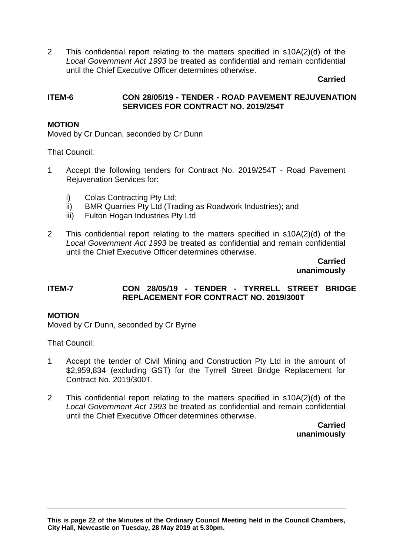2 This confidential report relating to the matters specified in s10A(2)(d) of the *Local Government Act 1993* be treated as confidential and remain confidential until the Chief Executive Officer determines otherwise.

#### **Carried**

## **ITEM-6 CON 28/05/19 - TENDER - ROAD PAVEMENT REJUVENATION SERVICES FOR CONTRACT NO. 2019/254T**

## **MOTION**

Moved by Cr Duncan, seconded by Cr Dunn

That Council:

- 1 Accept the following tenders for Contract No. 2019/254T Road Pavement Rejuvenation Services for:
	- i) Colas Contracting Pty Ltd;
	- ii) BMR Quarries Pty Ltd (Trading as Roadwork Industries); and
	- iii) Fulton Hogan Industries Pty Ltd
- 2 This confidential report relating to the matters specified in s10A(2)(d) of the *Local Government Act 1993* be treated as confidential and remain confidential until the Chief Executive Officer determines otherwise.

**Carried unanimously**

## **ITEM-7 CON 28/05/19 - TENDER - TYRRELL STREET BRIDGE REPLACEMENT FOR CONTRACT NO. 2019/300T**

#### **MOTION**

Moved by Cr Dunn, seconded by Cr Byrne

That Council:

- 1 Accept the tender of Civil Mining and Construction Pty Ltd in the amount of \$2,959,834 (excluding GST) for the Tyrrell Street Bridge Replacement for Contract No. 2019/300T.
- 2 This confidential report relating to the matters specified in s10A(2)(d) of the *Local Government Act 1993* be treated as confidential and remain confidential until the Chief Executive Officer determines otherwise.

**Carried unanimously**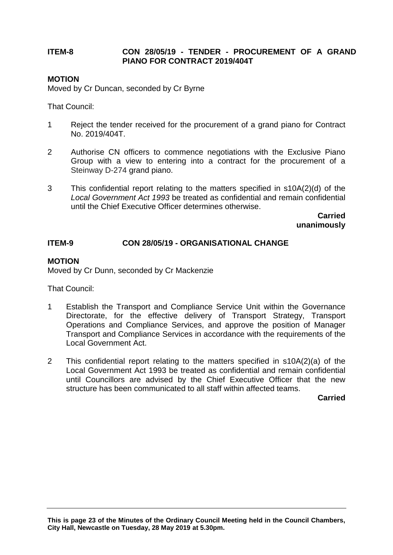# **ITEM-8 CON 28/05/19 - TENDER - PROCUREMENT OF A GRAND PIANO FOR CONTRACT 2019/404T**

# **MOTION**

Moved by Cr Duncan, seconded by Cr Byrne

That Council:

- 1 Reject the tender received for the procurement of a grand piano for Contract No. 2019/404T.
- 2 Authorise CN officers to commence negotiations with the Exclusive Piano Group with a view to entering into a contract for the procurement of a Steinway D-274 grand piano.
- 3 This confidential report relating to the matters specified in s10A(2)(d) of the *Local Government Act 1993* be treated as confidential and remain confidential until the Chief Executive Officer determines otherwise.

**Carried unanimously**

## **ITEM-9 CON 28/05/19 - ORGANISATIONAL CHANGE**

#### **MOTION**

Moved by Cr Dunn, seconded by Cr Mackenzie

That Council:

- 1 Establish the Transport and Compliance Service Unit within the Governance Directorate, for the effective delivery of Transport Strategy, Transport Operations and Compliance Services, and approve the position of Manager Transport and Compliance Services in accordance with the requirements of the Local Government Act.
- 2 This confidential report relating to the matters specified in s10A(2)(a) of the Local Government Act 1993 be treated as confidential and remain confidential until Councillors are advised by the Chief Executive Officer that the new structure has been communicated to all staff within affected teams.

**Carried**